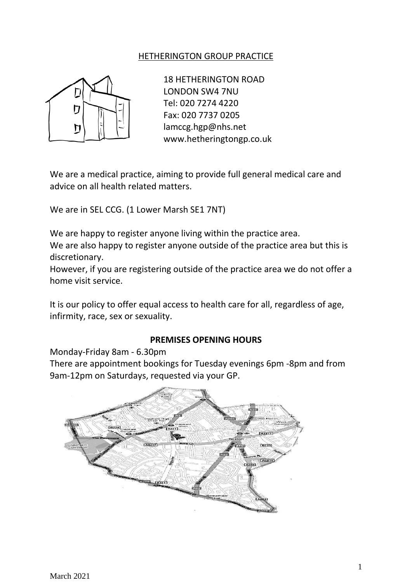# HETHERINGTON GROUP PRACTICE



18 HETHERINGTON ROAD LONDON SW4 7NU Tel: 020 7274 4220 Fax: 020 7737 0205 lamccg.hgp@nhs.net www.hetheringtongp.co.uk

We are a medical practice, aiming to provide full general medical care and advice on all health related matters.

We are in SEL CCG. (1 Lower Marsh SE1 7NT)

We are happy to register anyone living within the practice area.

We are also happy to register anyone outside of the practice area but this is discretionary.

However, if you are registering outside of the practice area we do not offer a home visit service.

It is our policy to offer equal access to health care for all, regardless of age, infirmity, race, sex or sexuality.

### **PREMISES OPENING HOURS**

Monday-Friday 8am - 6.30pm

There are appointment bookings for Tuesday evenings 6pm -8pm and from 9am-12pm on Saturdays, requested via your GP.

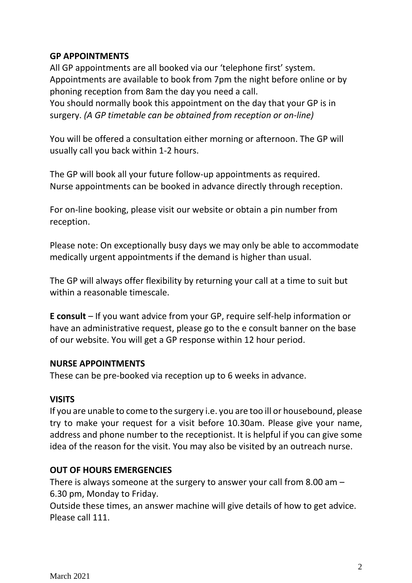### **GP APPOINTMENTS**

All GP appointments are all booked via our 'telephone first' system. Appointments are available to book from 7pm the night before online or by phoning reception from 8am the day you need a call. You should normally book this appointment on the day that your GP is in

surgery. *(A GP timetable can be obtained from reception or on-line)*

You will be offered a consultation either morning or afternoon. The GP will usually call you back within 1-2 hours.

The GP will book all your future follow-up appointments as required. Nurse appointments can be booked in advance directly through reception.

For on-line booking, please visit our website or obtain a pin number from reception.

Please note: On exceptionally busy days we may only be able to accommodate medically urgent appointments if the demand is higher than usual.

The GP will always offer flexibility by returning your call at a time to suit but within a reasonable timescale.

**E consult** – If you want advice from your GP, require self-help information or have an administrative request, please go to the e consult banner on the base of our website. You will get a GP response within 12 hour period.

# **NURSE APPOINTMENTS**

These can be pre-booked via reception up to 6 weeks in advance.

# **VISITS**

If you are unable to come to the surgery i.e. you are too ill or housebound, please try to make your request for a visit before 10.30am. Please give your name, address and phone number to the receptionist. It is helpful if you can give some idea of the reason for the visit. You may also be visited by an outreach nurse.

# **OUT OF HOURS EMERGENCIES**

There is always someone at the surgery to answer your call from 8.00 am – 6.30 pm, Monday to Friday.

Outside these times, an answer machine will give details of how to get advice. Please call 111.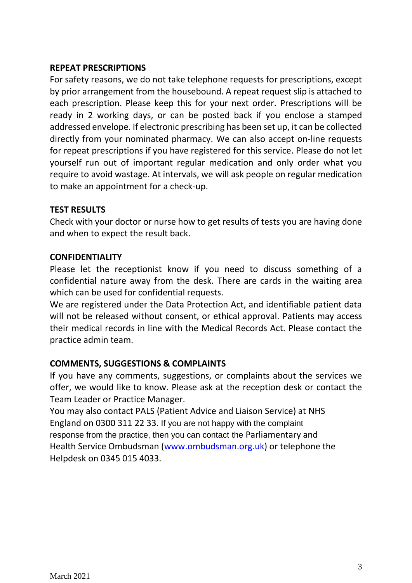# **REPEAT PRESCRIPTIONS**

For safety reasons, we do not take telephone requests for prescriptions, except by prior arrangement from the housebound. A repeat request slip is attached to each prescription. Please keep this for your next order. Prescriptions will be ready in 2 working days, or can be posted back if you enclose a stamped addressed envelope. If electronic prescribing has been set up, it can be collected directly from your nominated pharmacy. We can also accept on-line requests for repeat prescriptions if you have registered for this service. Please do not let yourself run out of important regular medication and only order what you require to avoid wastage. At intervals, we will ask people on regular medication to make an appointment for a check-up.

# **TEST RESULTS**

Check with your doctor or nurse how to get results of tests you are having done and when to expect the result back.

### **CONFIDENTIALITY**

Please let the receptionist know if you need to discuss something of a confidential nature away from the desk. There are cards in the waiting area which can be used for confidential requests.

We are registered under the Data Protection Act, and identifiable patient data will not be released without consent, or ethical approval. Patients may access their medical records in line with the Medical Records Act. Please contact the practice admin team.

# **COMMENTS, SUGGESTIONS & COMPLAINTS**

If you have any comments, suggestions, or complaints about the services we offer, we would like to know. Please ask at the reception desk or contact the Team Leader or Practice Manager.

You may also contact PALS (Patient Advice and Liaison Service) at NHS England on 0300 311 22 33. If you are not happy with the complaint response from the practice, then you can contact the Parliamentary and Health Service Ombudsman [\(www.ombudsman.org.uk\)](http://www.ombudsman.org.uk/) or telephone the Helpdesk on 0345 015 4033.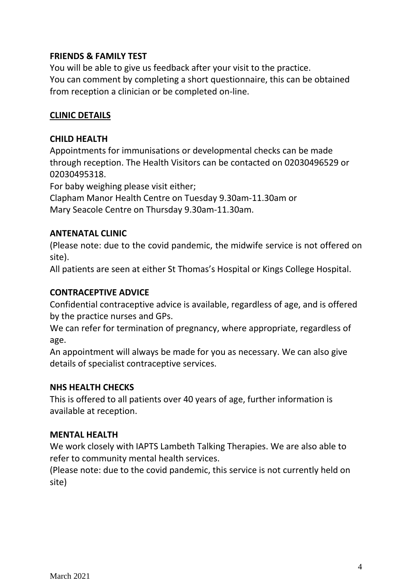# **FRIENDS & FAMILY TEST**

You will be able to give us feedback after your visit to the practice. You can comment by completing a short questionnaire, this can be obtained from reception a clinician or be completed on-line.

# **CLINIC DETAILS**

# **CHILD HEALTH**

Appointments for immunisations or developmental checks can be made through reception. The Health Visitors can be contacted on 02030496529 or 02030495318.

For baby weighing please visit either;

Clapham Manor Health Centre on Tuesday 9.30am-11.30am or Mary Seacole Centre on Thursday 9.30am-11.30am.

# **ANTENATAL CLINIC**

(Please note: due to the covid pandemic, the midwife service is not offered on site).

All patients are seen at either St Thomas's Hospital or Kings College Hospital.

# **CONTRACEPTIVE ADVICE**

Confidential contraceptive advice is available, regardless of age, and is offered by the practice nurses and GPs.

We can refer for termination of pregnancy, where appropriate, regardless of age.

An appointment will always be made for you as necessary. We can also give details of specialist contraceptive services.

# **NHS HEALTH CHECKS**

This is offered to all patients over 40 years of age, further information is available at reception.

# **MENTAL HEALTH**

We work closely with IAPTS Lambeth Talking Therapies. We are also able to refer to community mental health services.

(Please note: due to the covid pandemic, this service is not currently held on site)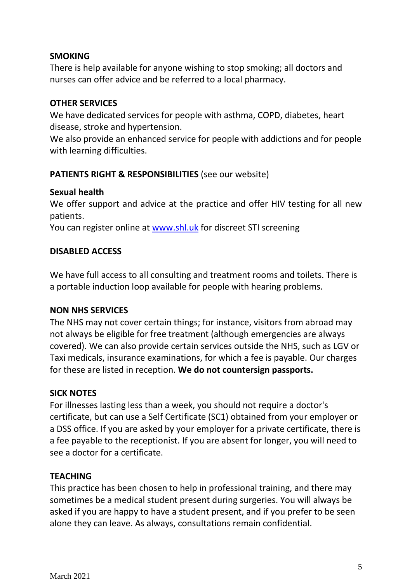# **SMOKING**

There is help available for anyone wishing to stop smoking; all doctors and nurses can offer advice and be referred to a local pharmacy.

### **OTHER SERVICES**

We have dedicated services for people with asthma, COPD, diabetes, heart disease, stroke and hypertension.

We also provide an enhanced service for people with addictions and for people with learning difficulties.

# **PATIENTS RIGHT & RESPONSIBILITIES** (see our website)

### **Sexual health**

We offer support and advice at the practice and offer HIV testing for all new patients.

You can register online at [www.shl.uk](http://www.shl.uk/) for discreet STI screening

### **DISABLED ACCESS**

We have full access to all consulting and treatment rooms and toilets. There is a portable induction loop available for people with hearing problems.

#### **NON NHS SERVICES**

The NHS may not cover certain things; for instance, visitors from abroad may not always be eligible for free treatment (although emergencies are always covered). We can also provide certain services outside the NHS, such as LGV or Taxi medicals, insurance examinations, for which a fee is payable. Our charges for these are listed in reception. **We do not countersign passports.**

# **SICK NOTES**

For illnesses lasting less than a week, you should not require a doctor's certificate, but can use a Self Certificate (SC1) obtained from your employer or a DSS office. If you are asked by your employer for a private certificate, there is a fee payable to the receptionist. If you are absent for longer, you will need to see a doctor for a certificate.

#### **TEACHING**

This practice has been chosen to help in professional training, and there may sometimes be a medical student present during surgeries. You will always be asked if you are happy to have a student present, and if you prefer to be seen alone they can leave. As always, consultations remain confidential.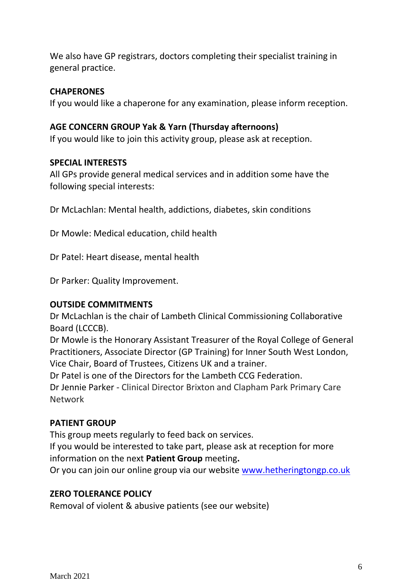We also have GP registrars, doctors completing their specialist training in general practice.

### **CHAPERONES**

If you would like a chaperone for any examination, please inform reception.

# **AGE CONCERN GROUP Yak & Yarn (Thursday afternoons)**

If you would like to join this activity group, please ask at reception.

### **SPECIAL INTERESTS**

All GPs provide general medical services and in addition some have the following special interests:

Dr McLachlan: Mental health, addictions, diabetes, skin conditions

Dr Mowle: Medical education, child health

Dr Patel: Heart disease, mental health

Dr Parker: Quality Improvement.

# **OUTSIDE COMMITMENTS**

Dr McLachlan is the chair of Lambeth Clinical Commissioning Collaborative Board (LCCCB).

Dr Mowle is the Honorary Assistant Treasurer of the Royal College of General Practitioners, Associate Director (GP Training) for Inner South West London, Vice Chair, Board of Trustees, Citizens UK and a trainer.

Dr Patel is one of the Directors for the Lambeth CCG Federation.

Dr Jennie Parker - Clinical Director Brixton and Clapham Park Primary Care Network

# **PATIENT GROUP**

This group meets regularly to feed back on services.

If you would be interested to take part, please ask at reception for more information on the next **Patient Group** meeting**.**

Or you can join our online group via our website [www.hetheringtongp.co.uk](http://www.hetheringtongp.co.uk/)

# **ZERO TOLERANCE POLICY**

Removal of violent & abusive patients (see our website)